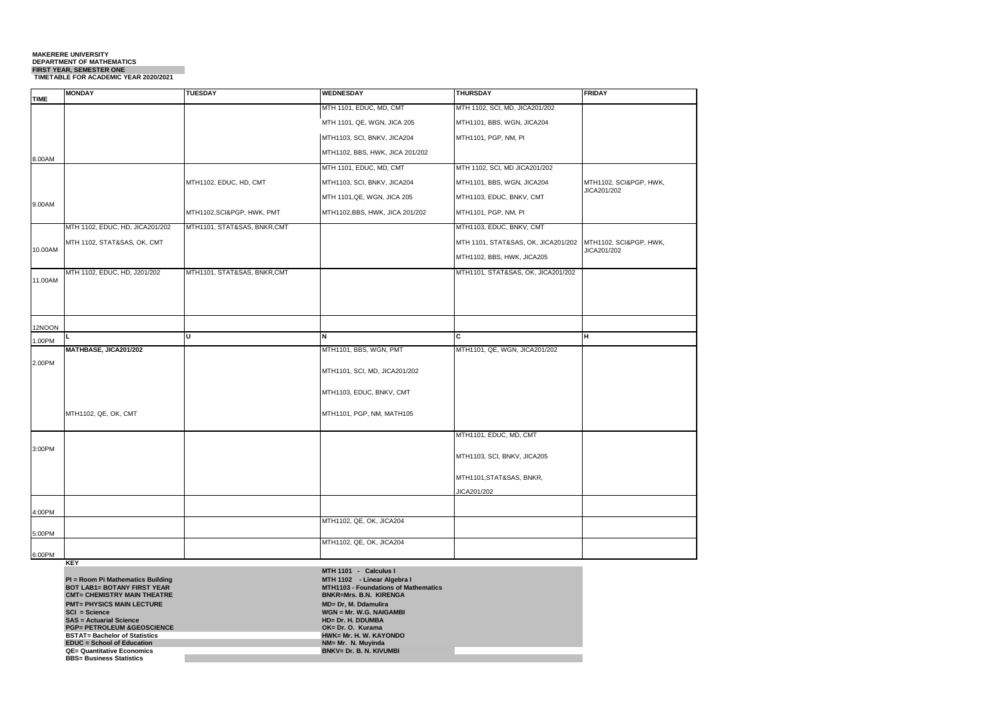#### **MAKERERE UNIVERSITY DEPARTMENT OF MATHEMATICS FIRST YEAR, SEMESTER ONE TIMETABLE FOR ACADEMIC YEAR 2020/2021**

|             | <b>MONDAY</b>                   | <b>TUESDAY</b>               | <b>WEDNESDAY</b>                | <b>THURSDAY</b>                     | <b>FRIDAY</b>                         |
|-------------|---------------------------------|------------------------------|---------------------------------|-------------------------------------|---------------------------------------|
| <b>TIME</b> |                                 |                              | MTH 1101, EDUC, MD, CMT         | MTH 1102, SCI, MD, JICA201/202      |                                       |
|             |                                 |                              |                                 |                                     |                                       |
|             |                                 |                              | MTH 1101, QE, WGN, JICA 205     | MTH1101, BBS, WGN, JICA204          |                                       |
|             |                                 |                              | MTH1103, SCI, BNKV, JICA204     | MTH1101, PGP, NM, PI                |                                       |
| 8.00AM      |                                 |                              | MTH1102, BBS, HWK, JICA 201/202 |                                     |                                       |
|             |                                 |                              | MTH 1101, EDUC, MD, CMT         | MTH 1102, SCI, MD JICA201/202       |                                       |
|             |                                 | MTH1102, EDUC, HD, CMT       | MTH1103, SCI, BNKV, JICA204     | MTH1101, BBS, WGN, JICA204          | MTH1102, SCI&PGP, HWK,<br>JICA201/202 |
| 9.00AM      |                                 |                              | MTH 1101, QE, WGN, JICA 205     | MTH1103, EDUC, BNKV, CMT            |                                       |
|             |                                 | MTH1102, SCI&PGP, HWK, PMT   | MTH1102,BBS, HWK, JICA 201/202  | MTH1101, PGP, NM, PI                |                                       |
|             | MTH 1102, EDUC, HD, JICA201/202 | MTH1101, STAT&SAS, BNKR,CMT  |                                 | MTH1103, EDUC, BNKV, CMT            |                                       |
| 10.00AM     | MTH 1102, STAT&SAS, OK, CMT     |                              |                                 | MTH 1101, STAT&SAS, OK, JICA201/202 | MTH1102, SCI&PGP, HWK,                |
|             |                                 |                              |                                 | MTH1102, BBS, HWK, JICA205          | JICA201/202                           |
| 11.00AM     | MTH 1102, EDUC, HD, J201/202    | MTH1101, STAT&SAS, BNKR, CMT |                                 | MTH1101, STAT&SAS, OK, JICA201/202  |                                       |
|             |                                 |                              |                                 |                                     |                                       |
|             |                                 |                              |                                 |                                     |                                       |
|             |                                 |                              |                                 |                                     |                                       |
| 12NOON      |                                 | Ιu                           | N                               | c                                   | н                                     |
| 1.00PM      | MATHBASE, JICA201/202           |                              | MTH1101, BBS, WGN, PMT          | MTH1101, QE, WGN, JICA201/202       |                                       |
| 2.00PM      |                                 |                              |                                 |                                     |                                       |
|             |                                 |                              | MTH1101, SCI, MD, JICA201/202   |                                     |                                       |
|             |                                 |                              | MTH1103, EDUC, BNKV, CMT        |                                     |                                       |
|             |                                 |                              |                                 |                                     |                                       |
|             | MTH1102, QE, OK, CMT            |                              | MTH1101, PGP, NM, MATH105       |                                     |                                       |
|             |                                 |                              |                                 | MTH1101, EDUC, MD, CMT              |                                       |
| 3:00PM      |                                 |                              |                                 |                                     |                                       |
|             |                                 |                              |                                 | MTH1103, SCI, BNKV, JICA205         |                                       |
|             |                                 |                              |                                 | MTH1101, STAT&SAS, BNKR,            |                                       |
|             |                                 |                              |                                 | JICA201/202                         |                                       |
| 4:00PM      |                                 |                              |                                 |                                     |                                       |
|             |                                 |                              | MTH1102, QE, OK, JICA204        |                                     |                                       |
| 5:00PM      |                                 |                              | MTH1102, QE, OK, JICA204        |                                     |                                       |
| 6:00PM      |                                 |                              |                                 |                                     |                                       |
|             |                                 |                              |                                 |                                     |                                       |

**KEY**

|                                        | <b>MTH 1101</b><br>- Calculus I             |
|----------------------------------------|---------------------------------------------|
| PI = Room Pi Mathematics Building      | MTH 1102 - Linear Algebra I                 |
| <b>BOT LAB1= BOTANY FIRST YEAR</b>     | <b>MTH1103 - Foundations of Mathematics</b> |
| <b>CMT= CHEMISTRY MAIN THEATRE</b>     | <b>BNKR=Mrs. B.N. KIRENGA</b>               |
| <b>PMT= PHYSICS MAIN LECTURE</b>       | MD= Dr. M. Ddamulira                        |
| $SCI = Science$                        | $WGN = Mr. W.G. NAGAMBI$                    |
| <b>SAS = Actuarial Science</b>         | HD= Dr. H. DDUMBA                           |
| <b>PGP= PETROLEUM &amp; GEOSCIENCE</b> | OK= Dr. O. Kurama                           |
| <b>BSTAT= Bachelor of Statistics</b>   | HWK= Mr. H. W. KAYONDO                      |
| <b>EDUC</b> = School of Education      | NM= Mr. N. Muvinda                          |
| <b>QE= Quantitative Economics</b>      | <b>BNKV= Dr. B. N. KIVUMBI</b>              |
| <b>BBS= Business Statistics</b>        |                                             |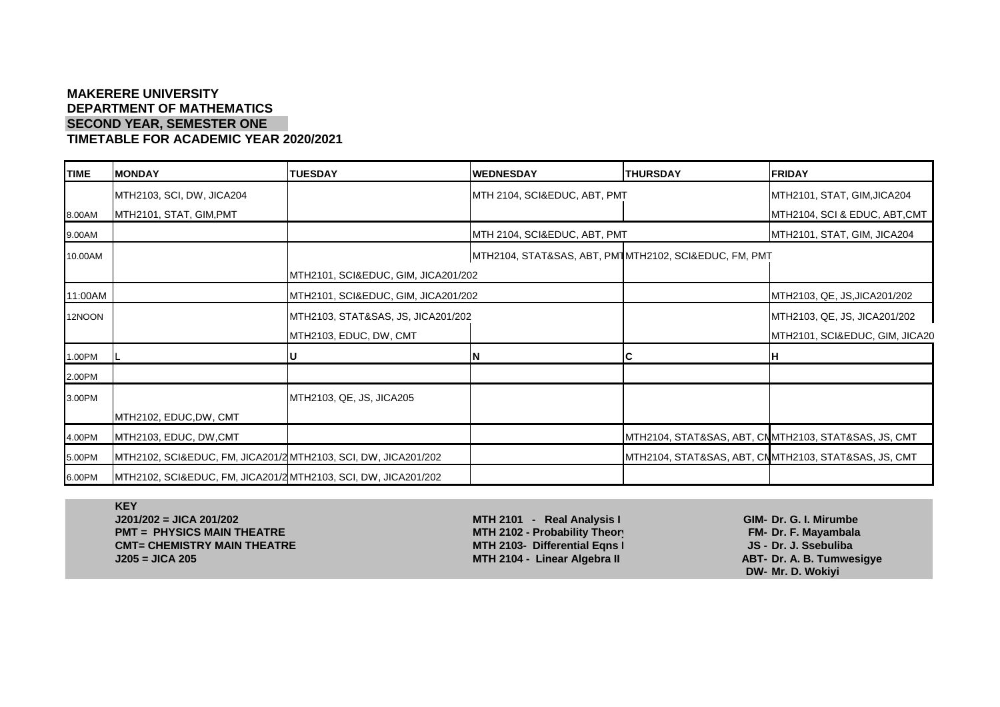#### **MAKERERE UNIVERSITY DEPARTMENT OF MATHEMATICS SECOND YEAR, SEMESTER ONE TIMETABLE FOR ACADEMIC YEAR 2020/2021**

**TIME MONDAY TUESDAY WEDNESDAY THURSDAY FRIDAY** MTH2103, SCI, DW, JICA204 MTH 2104, SCI&EDUC, ABT, PMT MTH2101, STAT, GIM,JICA204 8.00AM MTH2101, STAT, GIM,PMT MTH2104, SCI & EDUC, ABT,CMT 9.00AM MTH 2104, SCI&EDUC, ABT, PMT MTH2101, STAT, GIM, JICA204 10.00AM NUMBER 10.00AM NUMBER 10.00AM NUMBER 10.00AM NUMBER 10.00AM NUMBER 10.00AM NUMBER 10.00AM NUMBER 10.00 MTH2101, SCI&EDUC, GIM, JICA201/202 11:00AM MTH2101, SCI&EDUC, GIM, JICA201/202 MTH2103, QE, JS,JICA201/202 12NOON NUTLES | MTH2103, STAT&SAS, JS, JICA201/202 MTH2103, QE, JS, JICA201/202 MTH2103, QE, JS, JICA201/202 MTH2103, EDUC, DW, CMT MTH2101, SCI&EDUC, GIM, JICA204 1.00PM L **U N C H** 2.00PM 3.00PM MTH2103, QE, JS, JICA205 MTH2102, EDUC,DW, CMT 4.00PM MTH2103, EDUC, DW,CMT MTH2104, STAT&SAS, ABT, CMTMTH2103, STAT&SAS, JS, CMT 5.00PM MTH2102, SCI&EDUC, FM, JICA201/202MTH2103, SCI, DW, JICA201/202 MTH2104, STAT&SAS, ABT, CMTMTH2103, STAT&SAS, JS, CMT 6.00PM MTH2102, SCI&EDUC, FM, JICA201/202MTH2103, SCI, DW, JICA201/202

**KEY J201/202 = JICA 201/202 MTH 2101 - Real Analysis I GIM- Dr. G. I. Mirumbe PMT = PHYSICS MAIN THEATRE MTH 2102 - Probability Theory FM- Dr. F. Mayambala CMT= CHEMISTRY MAIN THEATRE MTH 2103- Differential Eqns I JS - Dr. J. Ssebuliba J205 = JICA 205 MTH 2104 - Linear Algebra II ABT- Dr. A. B. Tumwesigye**

**DW- Mr. D. Wokiyi**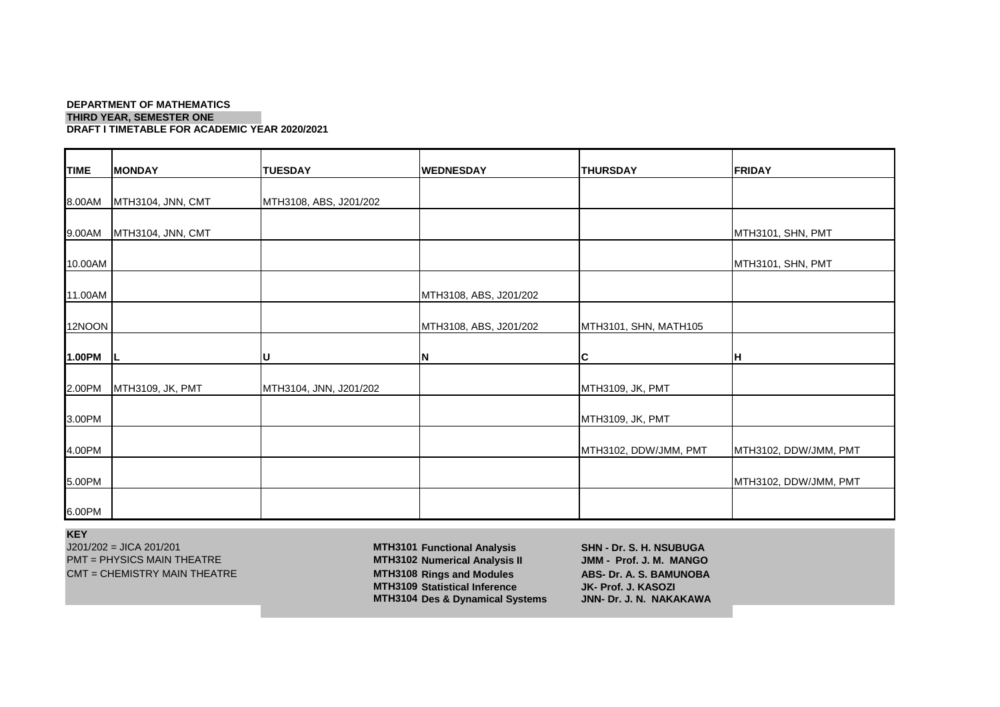#### **DEPARTMENT OF MATHEMATICS THIRD YEAR, SEMESTER ONE DRAFT I TIMETABLE FOR ACADEMIC YEAR 2020/2021**

| <b>TIME</b> | <b>MONDAY</b>     | <b>TUESDAY</b>         | <b>WEDNESDAY</b>       | <b>THURSDAY</b>       | <b>FRIDAY</b>         |
|-------------|-------------------|------------------------|------------------------|-----------------------|-----------------------|
| 8.00AM      | MTH3104, JNN, CMT | MTH3108, ABS, J201/202 |                        |                       |                       |
| 9.00AM      | MTH3104, JNN, CMT |                        |                        |                       | MTH3101, SHN, PMT     |
| 10.00AM     |                   |                        |                        |                       | MTH3101, SHN, PMT     |
| 11.00AM     |                   |                        | MTH3108, ABS, J201/202 |                       |                       |
| 12NOON      |                   |                        | MTH3108, ABS, J201/202 | MTH3101, SHN, MATH105 |                       |
| 1.00PM      |                   | ΙU                     | ΙN                     | C                     | H                     |
| 2.00PM      | MTH3109, JK, PMT  | MTH3104, JNN, J201/202 |                        | MTH3109, JK, PMT      |                       |
| 3.00PM      |                   |                        |                        | MTH3109, JK, PMT      |                       |
| 4.00PM      |                   |                        |                        | MTH3102, DDW/JMM, PMT | MTH3102, DDW/JMM, PMT |
| 5.00PM      |                   |                        |                        |                       | MTH3102, DDW/JMM, PMT |
| 6.00PM      |                   |                        |                        |                       |                       |

**KEY**

J201/202 = JICA 201/201 **MTH3101 Functional Analysis SHN - Dr. S. H. NSUBUGA**

PMT = PHYSICS MAIN THEATRE **MTH3102 Numerical Analysis II JMM - Prof. J. M. MANGO** CMT = CHEMISTRY MAIN THEATRE **MTH3108 Rings and Modules ABS- Dr. A. S. BAMUNOBA MTH3109 Statistical Inference JK- Prof. J. KASOZI MTH3104 Des & Dynamical Systems**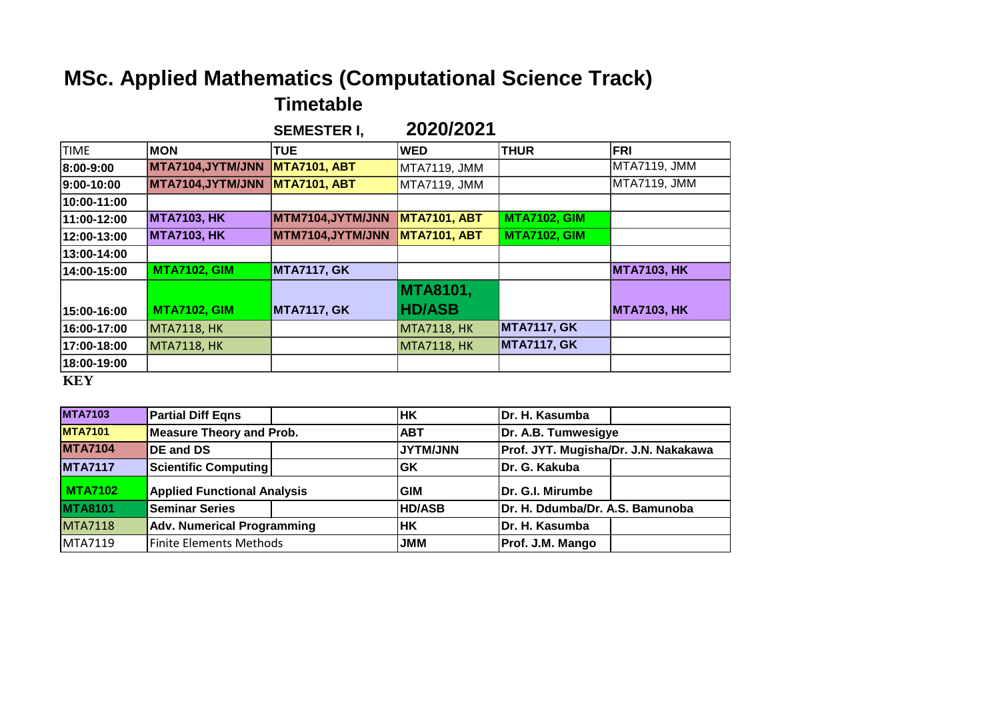# **MSc. Applied Mathematics (Computational Science Track)**

### **Timetable**

|             |                                 | <b>SEMESTER I,</b>  | 2020/2021           |                     |                    |
|-------------|---------------------------------|---------------------|---------------------|---------------------|--------------------|
| <b>TIME</b> | <b>MON</b>                      | <b>TUE</b>          | <b>WED</b>          | <b>THUR</b>         | <b>FRI</b>         |
| 8:00-9:00   | MTA7104,JYTM/JNN   MTA7101, ABT |                     | MTA7119, JMM        |                     | MTA7119, JMM       |
| 9:00-10:00  | MTA7104,JYTM/JNN                | <b>MTA7101, ABT</b> | MTA7119, JMM        |                     | MTA7119, JMM       |
| 10:00-11:00 |                                 |                     |                     |                     |                    |
| 11:00-12:00 | <b>MTA7103, HK</b>              | MTM7104,JYTM/JNN    | <b>MTA7101, ABT</b> | <b>MTA7102, GIM</b> |                    |
| 12:00-13:00 | <b>MTA7103, HK</b>              | MTM7104,JYTM/JNN    | <b>MTA7101, ABT</b> | <b>MTA7102, GIM</b> |                    |
| 13:00-14:00 |                                 |                     |                     |                     |                    |
| 14:00-15:00 | <b>MTA7102, GIM</b>             | <b>MTA7117, GK</b>  |                     |                     | <b>MTA7103, HK</b> |
|             |                                 |                     | <b>MTA8101,</b>     |                     |                    |
| 15:00-16:00 | <b>MTA7102, GIM</b>             | <b>MTA7117, GK</b>  | <b>HD/ASB</b>       |                     | <b>MTA7103, HK</b> |
| 16:00-17:00 | <b>MTA7118, HK</b>              |                     | <b>MTA7118, HK</b>  | <b>MTA7117, GK</b>  |                    |
| 17:00-18:00 | <b>MTA7118, HK</b>              |                     | <b>MTA7118, HK</b>  | <b>MTA7117, GK</b>  |                    |
| 18:00-19:00 |                                 |                     |                     |                     |                    |
| <b>KEY</b>  |                                 |                     |                     |                     |                    |

| <b>MTA7103</b> | <b>Partial Diff Eqns</b>           | <b>HK</b>      | Dr. H. Kasumba                       |  |
|----------------|------------------------------------|----------------|--------------------------------------|--|
| <b>MTA7101</b> | Measure Theory and Prob.           | <b>ABT</b>     | Dr. A.B. Tumwesigye                  |  |
| <b>MTA7104</b> | <b>DE and DS</b>                   | <b>UNUMTYL</b> | Prof. JYT. Mugisha/Dr. J.N. Nakakawa |  |
| <b>MTA7117</b> | Scientific Computing               | GK             | Dr. G. Kakuba                        |  |
| <b>MTA7102</b> | <b>Applied Functional Analysis</b> | <b>GIM</b>     | Dr. G.I. Mirumbe                     |  |
| <b>MTA8101</b> | <b>Seminar Series</b>              | <b>HD/ASB</b>  | Dr. H. Ddumba/Dr. A.S. Bamunoba      |  |
| <b>MTA7118</b> | <b>Adv. Numerical Programming</b>  | <b>IHK</b>     | Dr. H. Kasumba                       |  |
| <b>MTA7119</b> | Finite Elements Methods            | <b>JMM</b>     | Prof. J.M. Mango                     |  |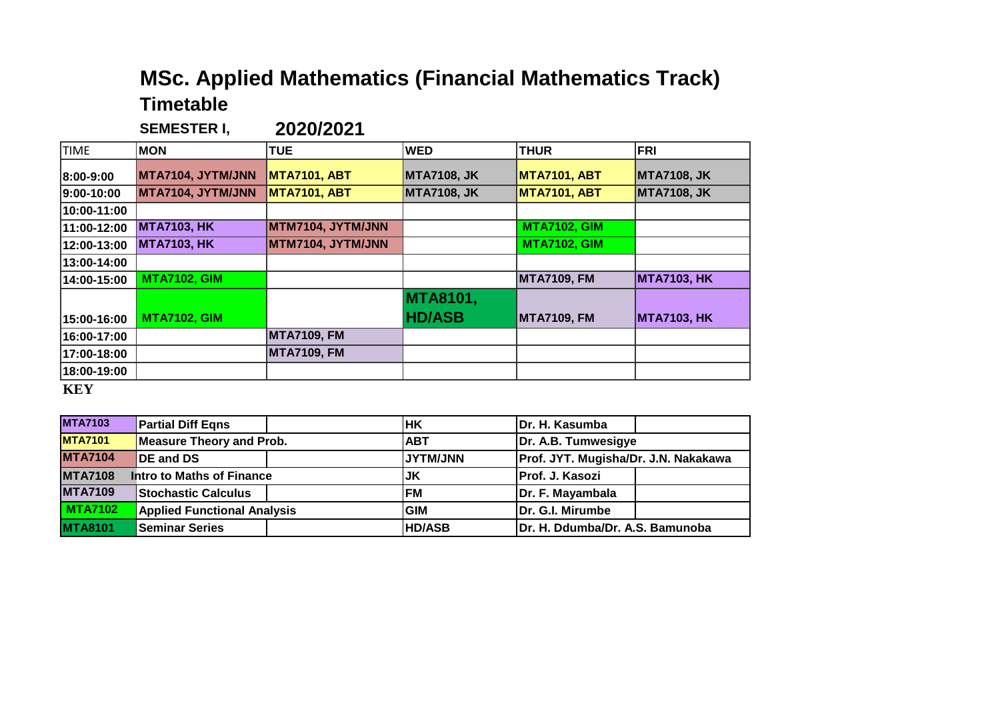## **MSc. Applied Mathematics (Financial Mathematics Track) Timetable**

**SEMESTER I, 2020/2021**

| <b>TIME</b> | <b>MON</b>          | <b>TUE</b>          | <b>WED</b>         | <b>THUR</b>         | <b>FRI</b>         |
|-------------|---------------------|---------------------|--------------------|---------------------|--------------------|
| 8:00-9:00   | MTA7104, JYTM/JNN   | <b>MTA7101, ABT</b> | <b>MTA7108, JK</b> | <b>MTA7101, ABT</b> | <b>MTA7108, JK</b> |
| 9:00-10:00  | MTA7104, JYTM/JNN   | <b>MTA7101, ABT</b> | <b>MTA7108, JK</b> | <b>MTA7101, ABT</b> | <b>MTA7108, JK</b> |
| 10:00-11:00 |                     |                     |                    |                     |                    |
| 11:00-12:00 | <b>MTA7103, HK</b>  | MTM7104, JYTM/JNN   |                    | <b>MTA7102, GIM</b> |                    |
| 12:00-13:00 | <b>MTA7103, HK</b>  | MTM7104, JYTM/JNN   |                    | <b>MTA7102, GIM</b> |                    |
| 13:00-14:00 |                     |                     |                    |                     |                    |
| 14:00-15:00 | <b>MTA7102, GIM</b> |                     |                    | <b>MTA7109, FM</b>  | <b>MTA7103, HK</b> |
|             |                     |                     | <b>MTA8101,</b>    |                     |                    |
| 15:00-16:00 | <b>MTA7102, GIM</b> |                     | <b>HD/ASB</b>      | <b>MTA7109, FM</b>  | <b>MTA7103, HK</b> |
| 16:00-17:00 |                     | <b>MTA7109, FM</b>  |                    |                     |                    |
| 17:00-18:00 |                     | <b>MTA7109, FM</b>  |                    |                     |                    |
| 18:00-19:00 |                     |                     |                    |                     |                    |
|             |                     |                     |                    |                     |                    |

**KEY**

| <b>MTA7103</b> | <b>Partial Diff Eqns</b>           | lнĸ             | Dr. H. Kasumba                       |  |
|----------------|------------------------------------|-----------------|--------------------------------------|--|
| <b>MTA7101</b> | Measure Theory and Prob.           | IABT            | Dr. A.B. Tumwesigye                  |  |
| <b>MTA7104</b> | <b>IDE and DS</b>                  | <b>UNUMTYLI</b> | Prof. JYT. Mugisha/Dr. J.N. Nakakawa |  |
| <b>MTA7108</b> | <b>Intro to Maths of Finance</b>   | JK              | Prof. J. Kasozi                      |  |
| <b>MTA7109</b> | <b>Stochastic Calculus</b>         | <b>FM</b>       | Dr. F. Mayambala                     |  |
| <b>MTA7102</b> | <b>Applied Functional Analysis</b> | GIM             | Dr. G.I. Mirumbe                     |  |
| <b>MTA8101</b> | <b>Seminar Series</b>              | <b>HD/ASB</b>   | Dr. H. Ddumba/Dr. A.S. Bamunoba      |  |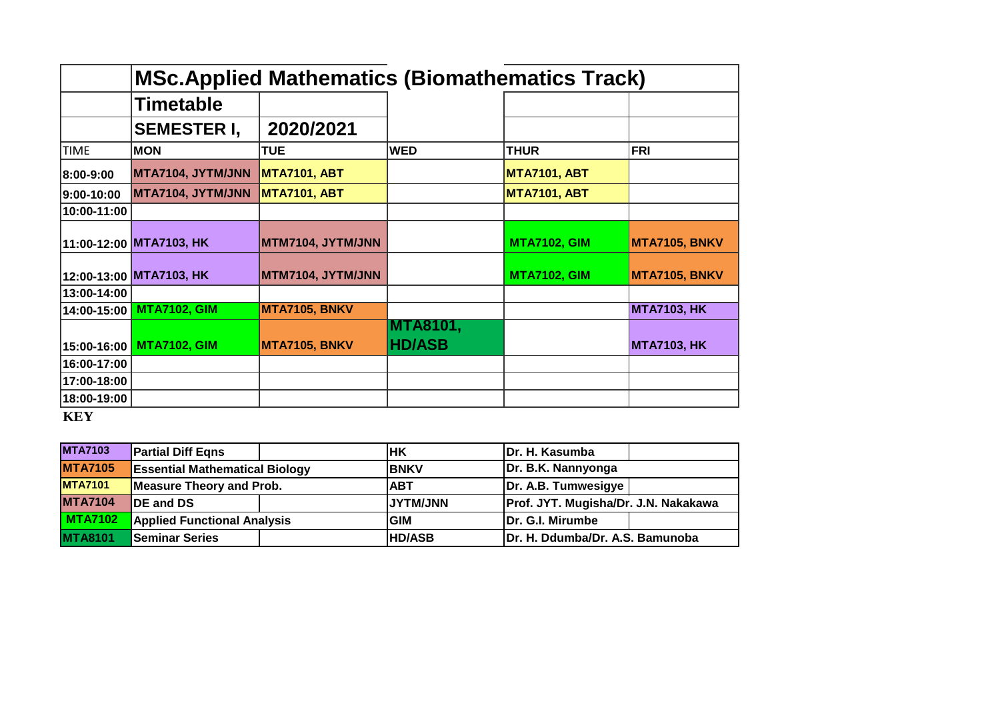|             | <b>MSc.Applied Mathematics (Biomathematics Track)</b> |                     |                                  |                     |                    |  |
|-------------|-------------------------------------------------------|---------------------|----------------------------------|---------------------|--------------------|--|
|             | <b>Timetable</b>                                      |                     |                                  |                     |                    |  |
|             | <b>SEMESTER I,</b>                                    | 2020/2021           |                                  |                     |                    |  |
| <b>TIME</b> | <b>MON</b>                                            | <b>TUE</b>          | <b>WED</b>                       | <b>THUR</b>         | <b>FRI</b>         |  |
| 8:00-9:00   | MTA7104, JYTM/JNN                                     | <b>MTA7101, ABT</b> |                                  | <b>MTA7101, ABT</b> |                    |  |
| 9:00-10:00  | MTA7104, JYTM/JNN                                     | <b>MTA7101, ABT</b> |                                  | <b>MTA7101, ABT</b> |                    |  |
| 10:00-11:00 |                                                       |                     |                                  |                     |                    |  |
|             | 11:00-12:00 MTA7103, HK                               | MTM7104, JYTM/JNN   |                                  | <b>MTA7102, GIM</b> | MTA7105, BNKV      |  |
|             | 12:00-13:00 MTA7103, HK                               | MTM7104, JYTM/JNN   |                                  | <b>MTA7102, GIM</b> | MTA7105, BNKV      |  |
| 13:00-14:00 |                                                       |                     |                                  |                     |                    |  |
| 14:00-15:00 | <b>MTA7102, GIM</b>                                   | MTA7105, BNKV       |                                  |                     | <b>MTA7103, HK</b> |  |
| 15:00-16:00 | <b>MTA7102, GIM</b>                                   | MTA7105, BNKV       | <b>MTA8101,</b><br><b>HD/ASB</b> |                     | <b>MTA7103, HK</b> |  |
| 16:00-17:00 |                                                       |                     |                                  |                     |                    |  |
| 17:00-18:00 |                                                       |                     |                                  |                     |                    |  |
| 18:00-19:00 |                                                       |                     |                                  |                     |                    |  |

**KEY**

| <b>MTA7103</b> | <b>Partial Diff Eqns</b>              |  | lHK             | Dr. H. Kasumba                       |  |
|----------------|---------------------------------------|--|-----------------|--------------------------------------|--|
| <b>MTA7105</b> | <b>Essential Mathematical Biology</b> |  | IBNKV           | Dr. B.K. Nannyonga                   |  |
| <b>MTA7101</b> | Measure Theory and Prob.              |  | <b>ABT</b>      | Dr. A.B. Tumwesigye                  |  |
| <b>MTA7104</b> | <b>IDE and DS</b>                     |  | <b>JYTM/JNN</b> | Prof. JYT. Mugisha/Dr. J.N. Nakakawa |  |
| <b>MTA7102</b> | <b>Applied Functional Analysis</b>    |  | <b>GIM</b>      | Dr. G.I. Mirumbe                     |  |
| <b>MTA8101</b> | <b>Seminar Series</b>                 |  | <b>HD/ASB</b>   | Dr. H. Ddumba/Dr. A.S. Bamunoba      |  |